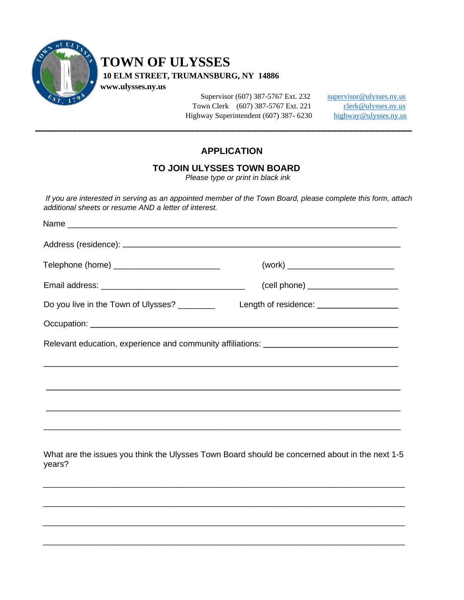

## **TOWN OF ULYSSES**

 **10 ELM STREET, TRUMANSBURG, NY 14886**

 **www.ulysses.ny.us**

Supervisor (607) 387-5767 Ext. 232 [supervisor@ulysses.ny.us](mailto:supervisor@ulysses.ny.us) Town Clerk (607) 387-5767 Ext. 221 [clerk@ulysses.ny.us](mailto:clerk@ulysses.ny.us) Highway Superintendent (607) 387- 6230 [highway@ulysses.ny.us](mailto:highway@ulysses.ny.us)

## **APPLICATION**

## **TO JOIN ULYSSES TOWN BOARD**

\_\_\_\_\_\_\_\_\_\_\_\_\_\_\_\_\_\_\_\_\_\_\_\_\_\_\_\_\_\_\_\_\_\_\_\_\_\_\_\_\_\_\_\_\_\_\_\_\_\_\_\_\_\_\_\_\_\_\_\_\_\_\_\_\_\_\_\_\_\_\_

*Please type or print in black ink*

*If you are interested in serving as an appointed member of the Town Board, please complete this form, attach additional sheets or resume AND a letter of interest.*

| Telephone (home) ____________________________ |                                                                                                          |
|-----------------------------------------------|----------------------------------------------------------------------------------------------------------|
|                                               |                                                                                                          |
| Do you live in the Town of Ulysses? ________  |                                                                                                          |
|                                               |                                                                                                          |
|                                               | Relevant education, experience and community affiliations: Network Community and Community affiliations: |
|                                               |                                                                                                          |
|                                               |                                                                                                          |
|                                               |                                                                                                          |
|                                               |                                                                                                          |
|                                               |                                                                                                          |
| years?                                        | What are the issues you think the Ulysses Town Board should be concerned about in the next 1-5           |
|                                               |                                                                                                          |

\_\_\_\_\_\_\_\_\_\_\_\_\_\_\_\_\_\_\_\_\_\_\_\_\_\_\_\_\_\_\_\_\_\_\_\_\_\_\_\_\_\_\_\_\_\_\_\_\_\_\_\_\_\_\_\_\_\_\_\_\_\_\_\_\_\_\_\_\_\_\_\_\_\_\_\_\_\_

\_\_\_\_\_\_\_\_\_\_\_\_\_\_\_\_\_\_\_\_\_\_\_\_\_\_\_\_\_\_\_\_\_\_\_\_\_\_\_\_\_\_\_\_\_\_\_\_\_\_\_\_\_\_\_\_\_\_\_\_\_\_\_\_\_\_\_\_\_\_\_\_\_\_\_\_\_\_

\_\_\_\_\_\_\_\_\_\_\_\_\_\_\_\_\_\_\_\_\_\_\_\_\_\_\_\_\_\_\_\_\_\_\_\_\_\_\_\_\_\_\_\_\_\_\_\_\_\_\_\_\_\_\_\_\_\_\_\_\_\_\_\_\_\_\_\_\_\_\_\_\_\_\_\_\_\_